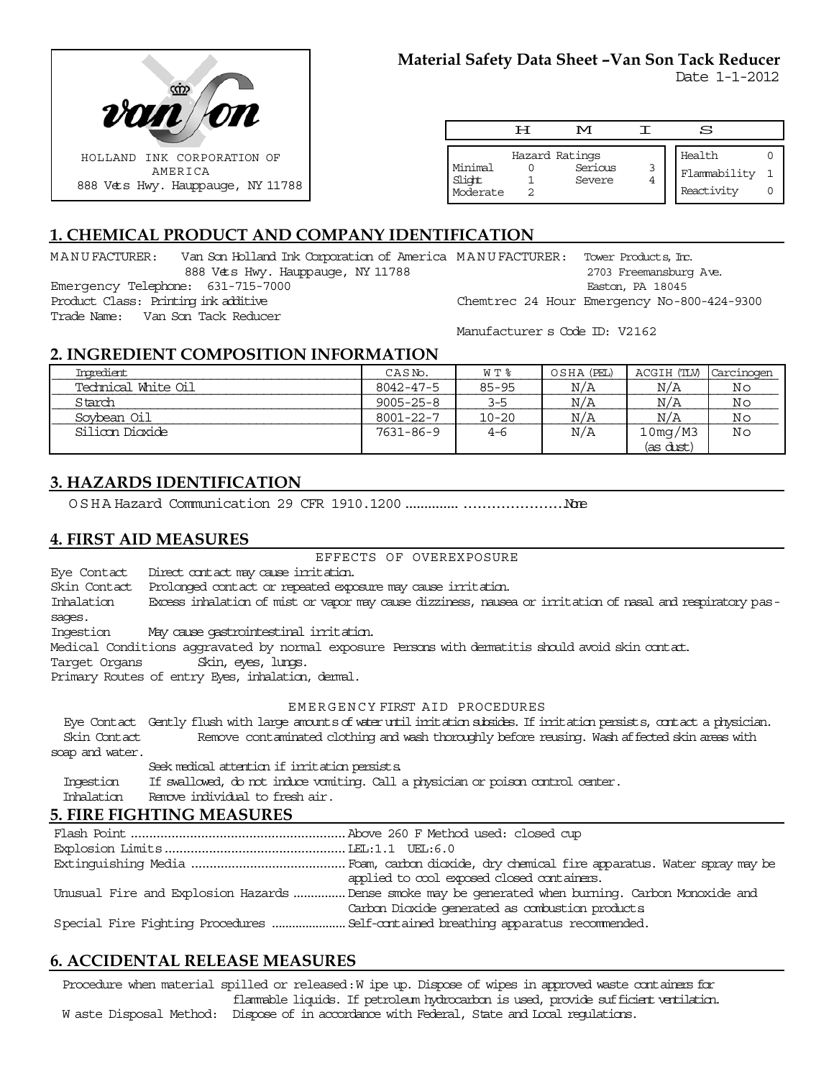

|                               | ਸ | M                                   |   | S                                    |  |
|-------------------------------|---|-------------------------------------|---|--------------------------------------|--|
| Minimal<br>Slight<br>Moderate |   | Hazard Ratings<br>Serious<br>Severe | 3 | Health<br>Flammability<br>Reactivity |  |

# **1. CHEMICAL PRODUCT AND COMPANY IDENTIFICATION**

MANUFACTURER: Van Son Holland Ink Corporation of America MANUFACTURER: Tower Products,Inc. 888 Vets Hwy. Hauppauge, NY 11788 Emergency Telephone: 631-715-7000 Product Class: Printing ink additive 2703 Freemansburg Ave. Easton, PA 18045 Chemtrec 24 Hour Emergency No-800-424-9300

Trade Name: Van Son Tack Reducer

Manufacturer s Code ID: V2162

## **2. INGREDIENT COMPOSITION INFORMATION**

| Ingredient.         | CASN <sub>o</sub> . | W T %     | OSHA (PEL) | ACGIH (TLV) | Carcinogen |
|---------------------|---------------------|-----------|------------|-------------|------------|
| Technical White Oil | 8042-47-5           | $85 - 95$ | N/A        | N/A         | Νo         |
| Starch              | $9005 - 25 - 8$     | $3 - 5$   | N/A        | N/A         | No         |
| Sovbean Oil         | 8001-22-7           | $10 - 20$ | N/A        | N/A         | Νo         |
| Silioon Dioxide     | 7631-86-9           | $4 - 6$   | N/A        | 10mg/M3     | Νo         |
|                     |                     |           |            | (as dust)   |            |

## **3. HAZARDS IDENTIFICATION**

OSHA Hazard Communication 29 CFR 1910.1200....................................None

## **4. FIRST AID MEASURES**

#### EFFECTS OF OVEREXPOSURE

Eye Contact Direct contact may cause irritation.

Skin Contact Prolonged contact or repeated exposure may cause irritation.

Inhalation Excess inhalation of mist or vapor may cause dizziness, nausea or irritation of nasal and respiratory passages.

Ingestion May cause gastrointestinal irritation.

Medical Conditions aggravated by normal exposure Persons with dermatitis should avoid skin contact.

Target Organs Skin, eyes, lungs.

Primary Routes of entry Eyes, inhalation, dermal.

#### EMERGENCY FIRST AID PROCEDURES

 Eye Contact Gently flush with large amounts of water until irritation subsides. If irritation persists, contact a physician. Skin Contact Remove contaminated clothing and wash thoroughly before reusing. Wash affected skin areas with soap and water.

Seek medical attention if irritation persists.

Ingestion If swallowed, do not induce vomiting. Call a physician or poison control center.

Inhalation Remove individual to fresh air.

#### **5. FIRE FIGHTING MEASURES**

Flash Point..........................................................Above 260 F Method used: closed cup Explosion Limits.................................................LEL:1.1 UEL:6.0 Extinguishing Media ..........................................Foam, carbon dioxide, dry chemical fire apparatus. Water spray may be applied to cool exposed closed containers. Unusual Fire and Explosion Hazards...............Dense smoke may be generated when burning. Carbon Monoxide and Carbon Dioxide generated as combustion products. Special Fire Fighting Procedures ......................Self-contained breathing apparatus recommended.

## **6. ACCIDENTAL RELEASE MEASURES**

Procedure when material spilled or released: W ipe up. Dispose of wipes in approved waste containers for flammable liquids. If petroleum hydrocarbon is used, provide sufficient ventilation.

W aste Disposal Method: Dispose of in accordance with Federal, State and Local regulations.